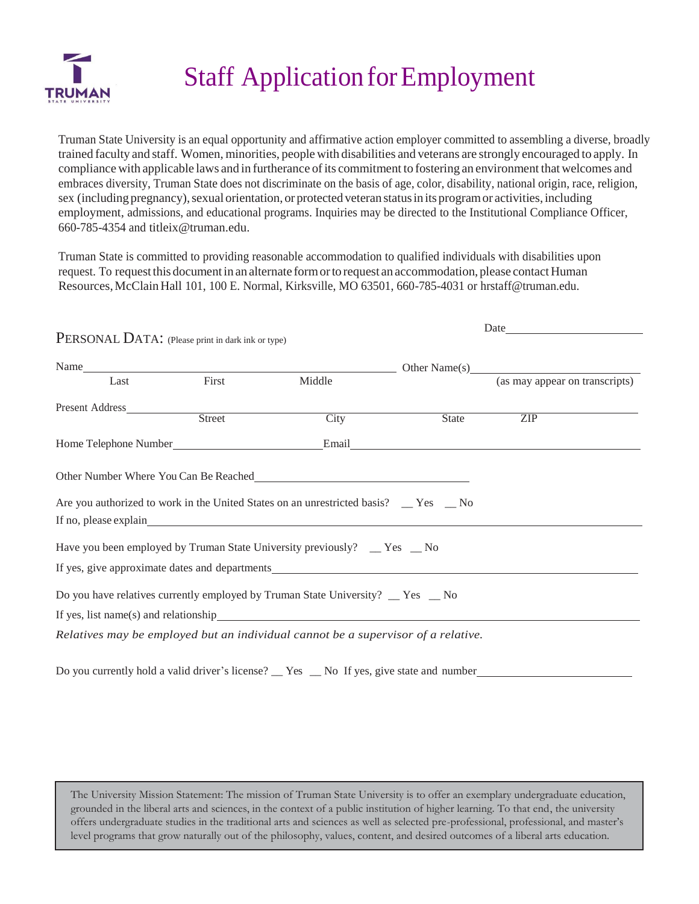

# **Staff Application for Employment**

Truman State University is an equal opportunity and affirmative action employer committed to assembling a diverse, broadly trained faculty and staff. Women, minorities, people with disabilities and veterans are strongly encouraged to apply. In compliance with applicable laws and in furtherance ofits commitment to fostering an environment that welcomes and embraces diversity, Truman State does not discriminate on the basis of age, color, disability, national origin, race, religion, sex (including pregnancy), sexual orientation, or protected veteran status in its program or activities, including employment, admissions, and educational programs. Inquiries may be directed to the Institutional Compliance Officer, 660-785-4354 and [titleix@truman.edu.](mailto:titleix@truman.edu)

Truman State is committed to providing reasonable accommodation to qualified individuals with disabilities upon request. To request this document in an alternate form or to request an accommodation, please contact Human Resources,McClainHall 101, 100 E. Normal, Kirksville, MO 63501, 660-785-4031 or [hrstaff@truman.edu.](mailto:hrstaff@truman.edu)

| <b>PERSONAL DATA:</b> (Please print in dark ink or type) |        |                                                                                                                                                                                                                                |       |                                |
|----------------------------------------------------------|--------|--------------------------------------------------------------------------------------------------------------------------------------------------------------------------------------------------------------------------------|-------|--------------------------------|
|                                                          |        | Name                                                                                                                                                                                                                           |       | Other Name $(s)$               |
| Last                                                     | First  | Middle                                                                                                                                                                                                                         |       | (as may appear on transcripts) |
| <b>Present Address</b>                                   | Street | City                                                                                                                                                                                                                           | State | ZIP                            |
| Home Telephone Number                                    |        | Email                                                                                                                                                                                                                          |       |                                |
|                                                          |        | Other Number Where You Can Be Reached<br><u>Letter Annual Can Be Reached</u>                                                                                                                                                   |       |                                |
|                                                          |        | Are you authorized to work in the United States on an unrestricted basis? $\sim$ Yes $\sim$ No                                                                                                                                 |       |                                |
|                                                          |        | Have you been employed by Truman State University previously? __ Yes __ No                                                                                                                                                     |       |                                |
|                                                          |        | If yes, give approximate dates and departments example of the state of the state of the state of the state of the state of the state of the state of the state of the state of the state of the state of the state of the stat |       |                                |
|                                                          |        | Do you have relatives currently employed by Truman State University? __ Yes __ No                                                                                                                                              |       |                                |
|                                                          |        | If yes, list name(s) and relationship example of the state of the state of the state of the state of the state of the state of the state of the state of the state of the state of the state of the state of the state of the  |       |                                |
|                                                          |        | Relatives may be employed but an individual cannot be a supervisor of a relative.                                                                                                                                              |       |                                |

Do you currently hold a valid driver's license? The State Section of the state and number

The University Mission Statement: The mission of Truman State University is to offer an exemplary undergraduate education, grounded in the liberal arts and sciences, in the context of a public institution of higher learning. To that end, the university offers undergraduate studies in the traditional arts and sciences as well as selected pre-professional, professional, and master's level programs that grow naturally out of the philosophy, values, content, and desired outcomes of a liberal arts education.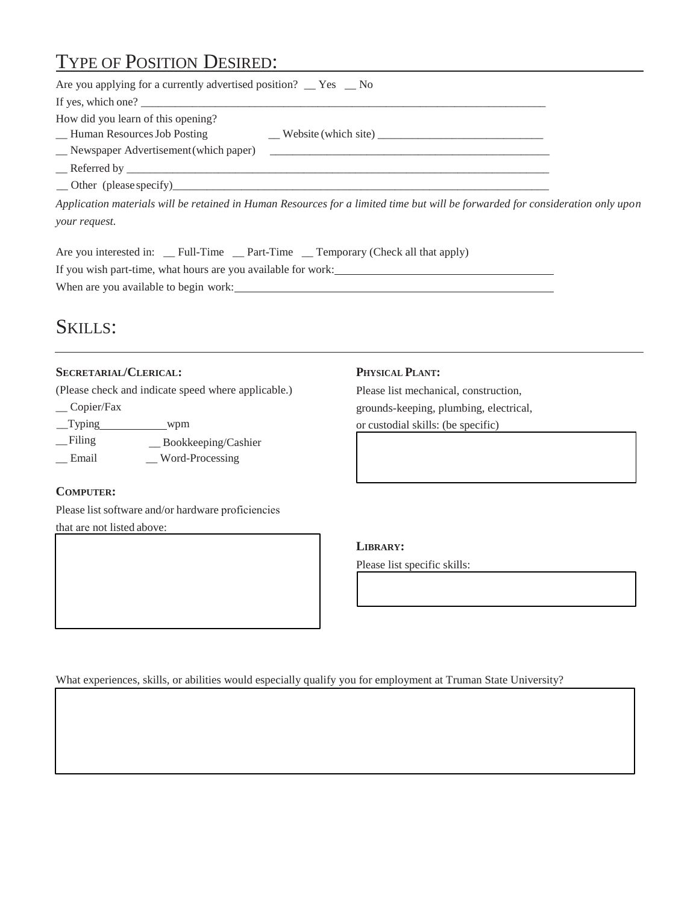## TYPE OF POSITION DESIRED:

| Are you applying for a currently advertised position? __ Yes __ No |  |  |  |  |
|--------------------------------------------------------------------|--|--|--|--|
|                                                                    |  |  |  |  |
| How did you learn of this opening?                                 |  |  |  |  |
| -Human Resources Job Posting                                       |  |  |  |  |
|                                                                    |  |  |  |  |
|                                                                    |  |  |  |  |
| $\angle$ Other (please specify)                                    |  |  |  |  |

*Application materials will be retained in Human Resources for a limited time but will be forwarded for consideration only upon your request.*

| Are you interested in: Full-Time Part-Time Temporary (Check all that apply) |  |
|-----------------------------------------------------------------------------|--|
| If you wish part-time, what hours are you available for work:               |  |
| When are you available to begin work:                                       |  |

### SKILLS:

### **SECRETARIAL/CLERICAL:**

(Please check and indicate speed where applicable.)

\_\_ Copier/Fax

\_\_Typing wpm

\_Filing \_\_ Bookkeeping/Cashier \_\_ Email \_\_ Word-Processing

#### **COMPUTER:**

Please list software and/or hardware proficiencies that are not listed above:

### **PHYSICAL PLANT:**

Please list mechanical, construction, grounds-keeping, plumbing, electrical, or custodial skills: (be specific)

 $\overline{\phantom{0}}$ 

**LIBRARY:**

Please list specific skills:

What experiences, skills, or abilities would especially qualify you for employment at Truman State University?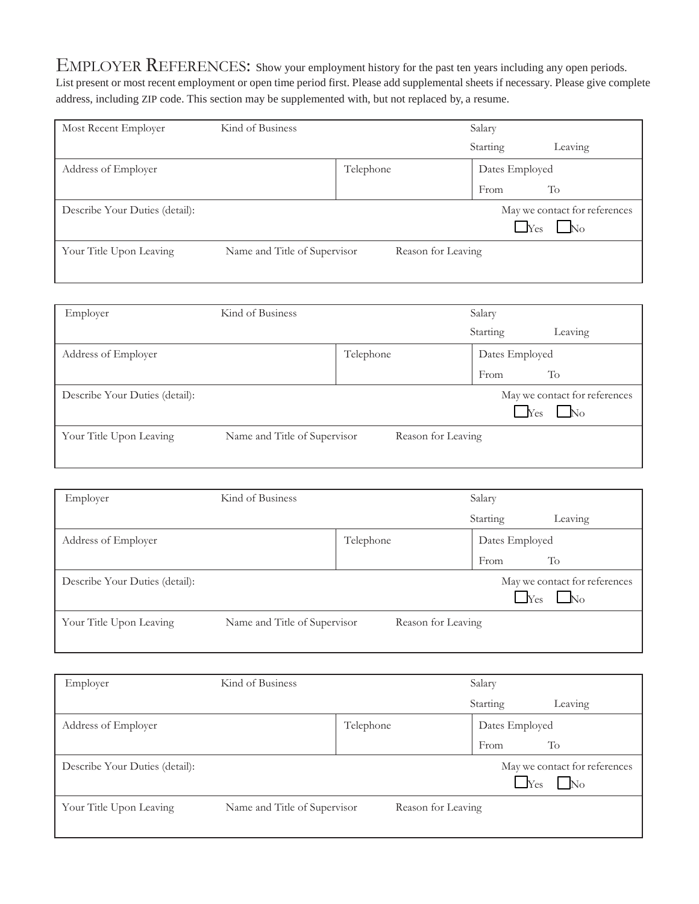EMPLOYER REFERENCES: Show your employment history for the past ten years including any open periods. List present or most recent employment or open time period first. Please add supplemental sheets if necessary. Please give complete address, including ZIP code. This section may be supplemented with, but not replaced by, a resume.

| Most Recent Employer           | Kind of Business             |                    | Salary         |                               |
|--------------------------------|------------------------------|--------------------|----------------|-------------------------------|
|                                |                              |                    | Starting       | Leaving                       |
| Address of Employer            |                              | Telephone          | Dates Employed |                               |
|                                |                              |                    | From           | To                            |
| Describe Your Duties (detail): |                              |                    |                | May we contact for references |
|                                |                              |                    | $Y$ es         | $\overline{\phantom{1}}$ No   |
| Your Title Upon Leaving        | Name and Title of Supervisor | Reason for Leaving |                |                               |
|                                |                              |                    |                |                               |

| Employer                       | Kind of Business             |                    | Salary         |                                            |
|--------------------------------|------------------------------|--------------------|----------------|--------------------------------------------|
|                                |                              |                    | Starting       | Leaving                                    |
| Address of Employer            |                              | Telephone          | Dates Employed |                                            |
|                                |                              |                    | From           | To                                         |
| Describe Your Duties (detail): |                              |                    | Yes            | May we contact for references<br>$\Box$ No |
|                                |                              |                    |                |                                            |
| Your Title Upon Leaving        | Name and Title of Supervisor | Reason for Leaving |                |                                            |

| Employer                       | Kind of Business             |                    | Salary                 |                                                         |
|--------------------------------|------------------------------|--------------------|------------------------|---------------------------------------------------------|
|                                |                              |                    | Starting               | Leaving                                                 |
| Address of Employer            |                              | Telephone          | Dates Employed         |                                                         |
|                                |                              |                    | From                   | To                                                      |
| Describe Your Duties (detail): |                              |                    | $\mathbf{V}_{\rm{es}}$ | May we contact for references<br>$\overline{\text{No}}$ |
| Your Title Upon Leaving        | Name and Title of Supervisor | Reason for Leaving |                        |                                                         |

| Employer                       | Kind of Business             |                    | Salary               |                                           |
|--------------------------------|------------------------------|--------------------|----------------------|-------------------------------------------|
|                                |                              |                    | Starting             | Leaving                                   |
| Address of Employer            |                              | Telephone          | Dates Employed       |                                           |
|                                |                              |                    | From                 | To                                        |
| Describe Your Duties (detail): |                              |                    | $\mathbf{\perp}$ Yes | May we contact for references<br>$\rm No$ |
| Your Title Upon Leaving        | Name and Title of Supervisor | Reason for Leaving |                      |                                           |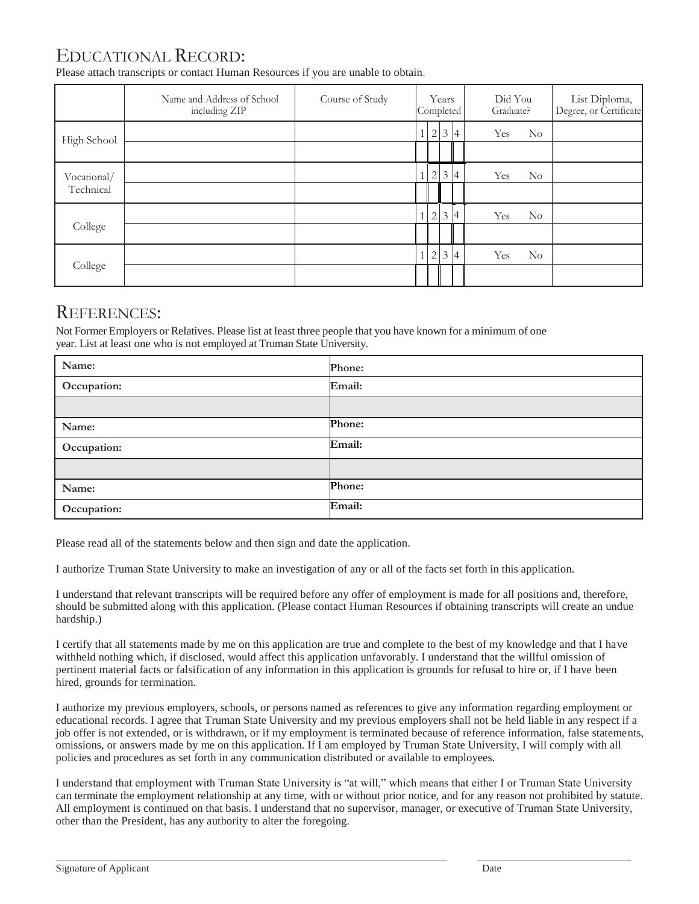### EDUCATIONAL RECORD:

Please attach transcripts or contact Human Resources if you are unable to obtain.

|             | Name and Address of School<br>including ZIP | Course of Study | Completed | Years             |                    | Did You<br>Graduate? | List Diploma,<br>Degree, or Certificate |
|-------------|---------------------------------------------|-----------------|-----------|-------------------|--------------------|----------------------|-----------------------------------------|
| High School |                                             |                 |           | $2 \mid 3 \mid 4$ |                    | $\rm No$<br>Yes      |                                         |
|             |                                             |                 |           |                   |                    |                      |                                         |
| Vocational/ |                                             |                 |           |                   | $2 \mid 3 \mid 4$  | Yes<br>$\rm No$      |                                         |
| Technical   |                                             |                 |           |                   |                    |                      |                                         |
|             |                                             |                 |           |                   | $2 \overline{3}$ 4 | $\rm No$<br>Yes      |                                         |
| College     |                                             |                 |           |                   |                    |                      |                                         |
|             |                                             |                 |           | 1 2 3 4           |                    | $\rm No$<br>Yes      |                                         |
| College     |                                             |                 |           |                   |                    |                      |                                         |

### REFERENCES:

Not Former Employers or Relatives. Please list at least three people that you have known for a minimum of one year. List at least one who is not employed at Truman State University.

| Name:       | Phone: |
|-------------|--------|
| Occupation: | Email: |
|             |        |
| Name:       | Phone: |
| Occupation: | Email: |
|             |        |
| Name:       | Phone: |
| Occupation: | Email: |

Please read all of the statements below and then sign and date the application.

I authorize Truman State University to make an investigation of any or all of the facts set forth in this application.

I understand that relevant transcripts will be required before any offer of employment is made for all positions and, therefore, should be submitted along with this application. (Please contact Human Resources if obtaining transcripts will create an undue hardship.)

I certify that all statements made by me on this application are true and complete to the best of my knowledge and that I have withheld nothing which, if disclosed, would affect this application unfavorably. I understand that the willful omission of pertinent material facts or falsification of any information in this application is grounds for refusal to hire or, if I have been hired, grounds for termination.

I authorize my previous employers, schools, or persons named as references to give any information regarding employment or educational records. I agree that Truman State University and my previous employers shall not be held liable in any respect if a job offer is not extended, or is withdrawn, or if my employment is terminated because of reference information, false statements, omissions, or answers made by me on this application. If I am employed by Truman State University, I will comply with all policies and procedures as set forth in any communication distributed or available to employees.

I understand that employment with Truman State University is "at will," which means that either I or Truman State University can terminate the employment relationship at any time, with or without prior notice, and for any reason not prohibited by statute. All employment is continued on that basis. I understand that no supervisor, manager, or executive of Truman State University, other than the President, has any authority to alter the foregoing.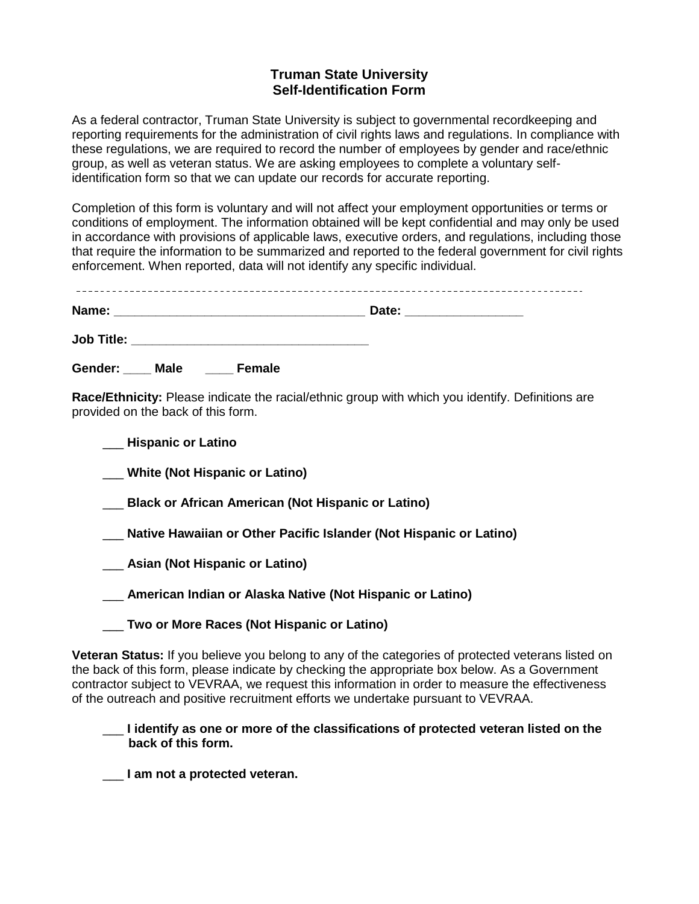### **Truman State University Self-Identification Form**

As a federal contractor, Truman State University is subject to governmental recordkeeping and reporting requirements for the administration of civil rights laws and regulations. In compliance with these regulations, we are required to record the number of employees by gender and race/ethnic group, as well as veteran status. We are asking employees to complete a voluntary selfidentification form so that we can update our records for accurate reporting.

Completion of this form is voluntary and will not affect your employment opportunities or terms or conditions of employment. The information obtained will be kept confidential and may only be used in accordance with provisions of applicable laws, executive orders, and regulations, including those that require the information to be summarized and reported to the federal government for civil rights enforcement. When reported, data will not identify any specific individual.

| Name:                                        | Date:<br>the control of the control of the control of the control of the control of the control of |
|----------------------------------------------|----------------------------------------------------------------------------------------------------|
| Job Title: _________________________________ |                                                                                                    |
| Gender: Male<br><b>Female</b>                |                                                                                                    |

**Race/Ethnicity:** Please indicate the racial/ethnic group with which you identify. Definitions are provided on the back of this form.

\_\_\_ **Hispanic or Latino**

\_\_\_ **White (Not Hispanic or Latino)**

\_\_\_ **Black or African American (Not Hispanic or Latino)**

\_\_\_ **Native Hawaiian or Other Pacific Islander (Not Hispanic or Latino)**

\_\_\_ **Asian (Not Hispanic or Latino)**

\_\_\_ **American Indian or Alaska Native (Not Hispanic or Latino)**

\_\_\_ **Two or More Races (Not Hispanic or Latino)**

**Veteran Status:** If you believe you belong to any of the categories of protected veterans listed on the back of this form, please indicate by checking the appropriate box below. As a Government contractor subject to VEVRAA, we request this information in order to measure the effectiveness of the outreach and positive recruitment efforts we undertake pursuant to VEVRAA.

\_\_\_ **I identify as one or more of the classifications of protected veteran listed on the back of this form.**

\_\_\_ **I am not a protected veteran.**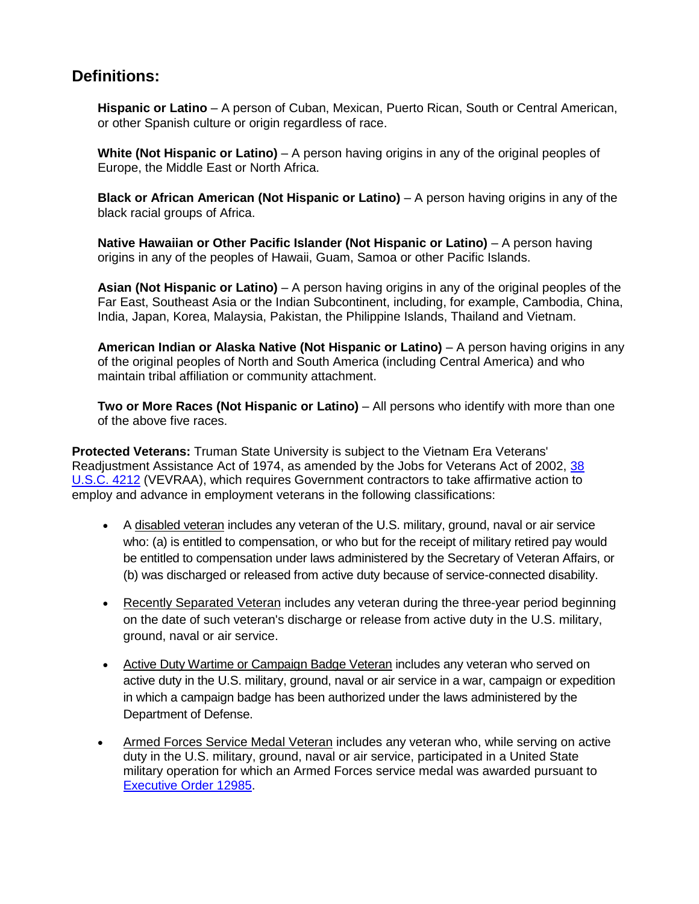### **Definitions:**

**Hispanic or Latino** – A person of Cuban, Mexican, Puerto Rican, South or Central American, or other Spanish culture or origin regardless of race.

**White (Not Hispanic or Latino)** – A person having origins in any of the original peoples of Europe, the Middle East or North Africa.

**Black or African American (Not Hispanic or Latino)** – A person having origins in any of the black racial groups of Africa.

**Native Hawaiian or Other Pacific Islander (Not Hispanic or Latino)** – A person having origins in any of the peoples of Hawaii, Guam, Samoa or other Pacific Islands.

**Asian (Not Hispanic or Latino)** – A person having origins in any of the original peoples of the Far East, Southeast Asia or the Indian Subcontinent, including, for example, Cambodia, China, India, Japan, Korea, Malaysia, Pakistan, the Philippine Islands, Thailand and Vietnam.

**American Indian or Alaska Native (Not Hispanic or Latino)** – A person having origins in any of the original peoples of North and South America (including Central America) and who maintain tribal affiliation or community attachment.

**Two or More Races (Not Hispanic or Latino)** – All persons who identify with more than one of the above five races.

**Protected Veterans:** Truman State University is subject to the Vietnam Era Veterans' Readjustment Assistance Act of 1974, as amended by the Jobs for Veterans Act of 2002, [38](http://api.fdsys.gov/link?collection=uscode&title=38&year=mostrecent§ion=4212&type=usc&link-type=html)  [U.S.C. 4212](http://api.fdsys.gov/link?collection=uscode&title=38&year=mostrecent§ion=4212&type=usc&link-type=html) (VEVRAA), which requires Government contractors to take affirmative action to employ and advance in employment veterans in the following classifications:

- A disabled veteran includes any veteran of the U.S. military, ground, naval or air service who: (a) is entitled to compensation, or who but for the receipt of military retired pay would be entitled to compensation under laws administered by the Secretary of Veteran Affairs, or (b) was discharged or released from active duty because of service-connected disability.
- Recently Separated Veteran includes any veteran during the three-year period beginning on the date of such veteran's discharge or release from active duty in the U.S. military, ground, naval or air service.
- Active Duty Wartime or Campaign Badge Veteran includes any veteran who served on active duty in the U.S. military, ground, naval or air service in a war, campaign or expedition in which a campaign badge has been authorized under the laws administered by the Department of Defense.
- Armed Forces Service Medal Veteran includes any veteran who, while serving on active duty in the U.S. military, ground, naval or air service, participated in a United State military operation for which an Armed Forces service medal was awarded pursuant to [Executive Order 12985.](https://www.federalregister.gov/executive-order/12985)